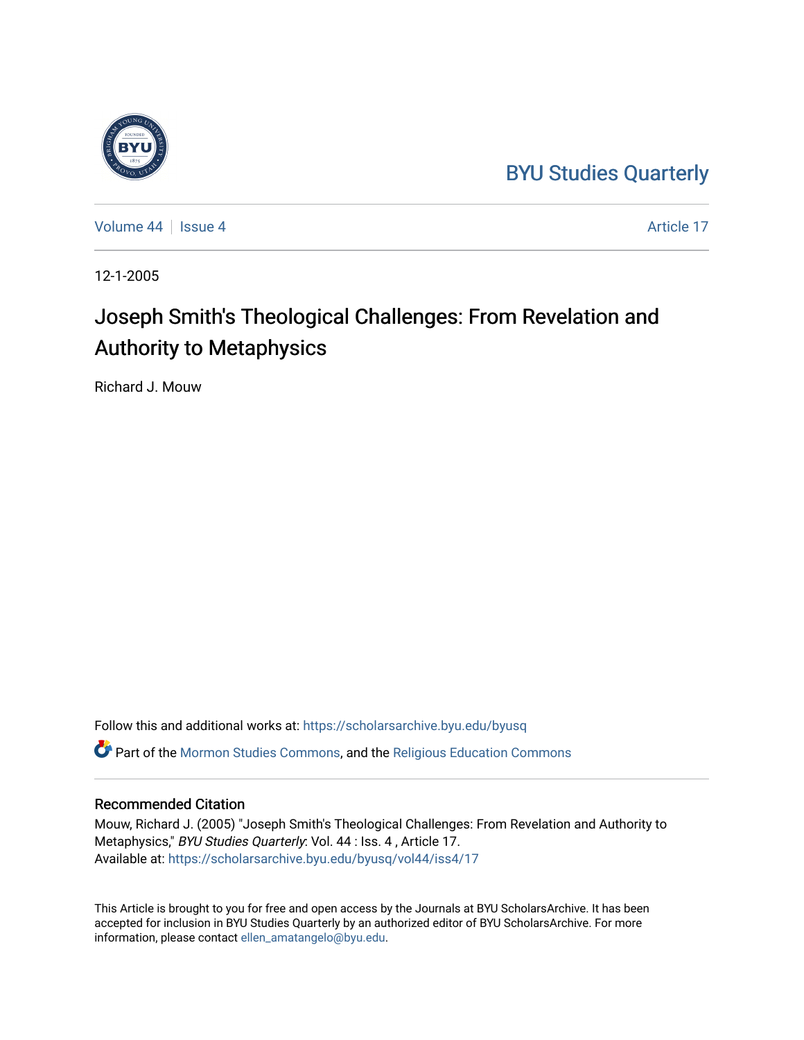### [BYU Studies Quarterly](https://scholarsarchive.byu.edu/byusq)

[Volume 44](https://scholarsarchive.byu.edu/byusq/vol44) | [Issue 4](https://scholarsarchive.byu.edu/byusq/vol44/iss4) Article 17

12-1-2005

# Joseph Smith's Theological Challenges: From Revelation and Authority to Metaphysics

Richard J. Mouw

Follow this and additional works at: [https://scholarsarchive.byu.edu/byusq](https://scholarsarchive.byu.edu/byusq?utm_source=scholarsarchive.byu.edu%2Fbyusq%2Fvol44%2Fiss4%2F17&utm_medium=PDF&utm_campaign=PDFCoverPages)  Part of the [Mormon Studies Commons](http://network.bepress.com/hgg/discipline/1360?utm_source=scholarsarchive.byu.edu%2Fbyusq%2Fvol44%2Fiss4%2F17&utm_medium=PDF&utm_campaign=PDFCoverPages), and the [Religious Education Commons](http://network.bepress.com/hgg/discipline/1414?utm_source=scholarsarchive.byu.edu%2Fbyusq%2Fvol44%2Fiss4%2F17&utm_medium=PDF&utm_campaign=PDFCoverPages) 

### Recommended Citation

Mouw, Richard J. (2005) "Joseph Smith's Theological Challenges: From Revelation and Authority to Metaphysics," BYU Studies Quarterly: Vol. 44 : Iss. 4 , Article 17. Available at: [https://scholarsarchive.byu.edu/byusq/vol44/iss4/17](https://scholarsarchive.byu.edu/byusq/vol44/iss4/17?utm_source=scholarsarchive.byu.edu%2Fbyusq%2Fvol44%2Fiss4%2F17&utm_medium=PDF&utm_campaign=PDFCoverPages) 

This Article is brought to you for free and open access by the Journals at BYU ScholarsArchive. It has been accepted for inclusion in BYU Studies Quarterly by an authorized editor of BYU ScholarsArchive. For more information, please contact [ellen\\_amatangelo@byu.edu.](mailto:ellen_amatangelo@byu.edu)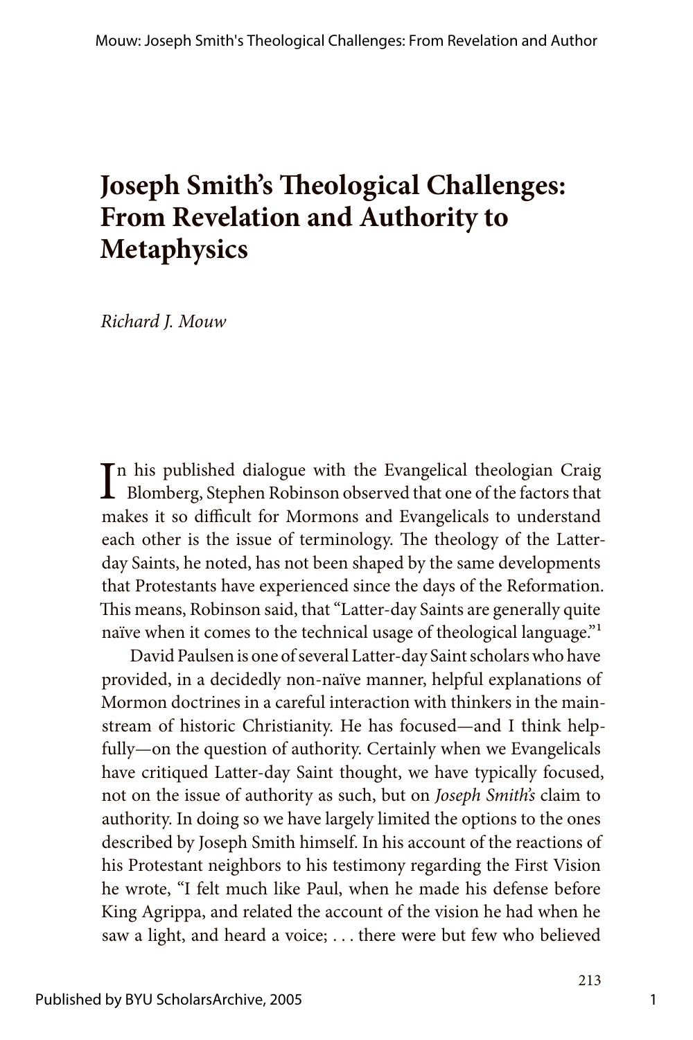## **Joseph Smith's Theological Challenges: From Revelation and Authority to Metaphysics**

*Richard J. Mouw*

In his published dialogue with the Evangelical theologian Craig<br>Blomberg, Stephen Robinson observed that one of the factors that n his published dialogue with the Evangelical theologian Craig makes it so difficult for Mormons and Evangelicals to understand each other is the issue of terminology. The theology of the Latterday Saints, he noted, has not been shaped by the same developments that Protestants have experienced since the days of the Reformation. This means, Robinson said, that "Latter-day Saints are generally quite naïve when it comes to the technical usage of theological language."

 David Paulsen is one of several Latter-day Saint scholars who have provided, in a decidedly non-naïve manner, helpful explanations of Mormon doctrines in a careful interaction with thinkers in the mainstream of historic Christianity. He has focused—and I think helpfully—on the question of authority. Certainly when we Evangelicals have critiqued Latter-day Saint thought, we have typically focused, not on the issue of authority as such, but on *Joseph Smith's* claim to authority. In doing so we have largely limited the options to the ones described by Joseph Smith himself. In his account of the reactions of his Protestant neighbors to his testimony regarding the First Vision he wrote, "I felt much like Paul, when he made his defense before King Agrippa, and related the account of the vision he had when he saw a light, and heard a voice; . . . there were but few who believed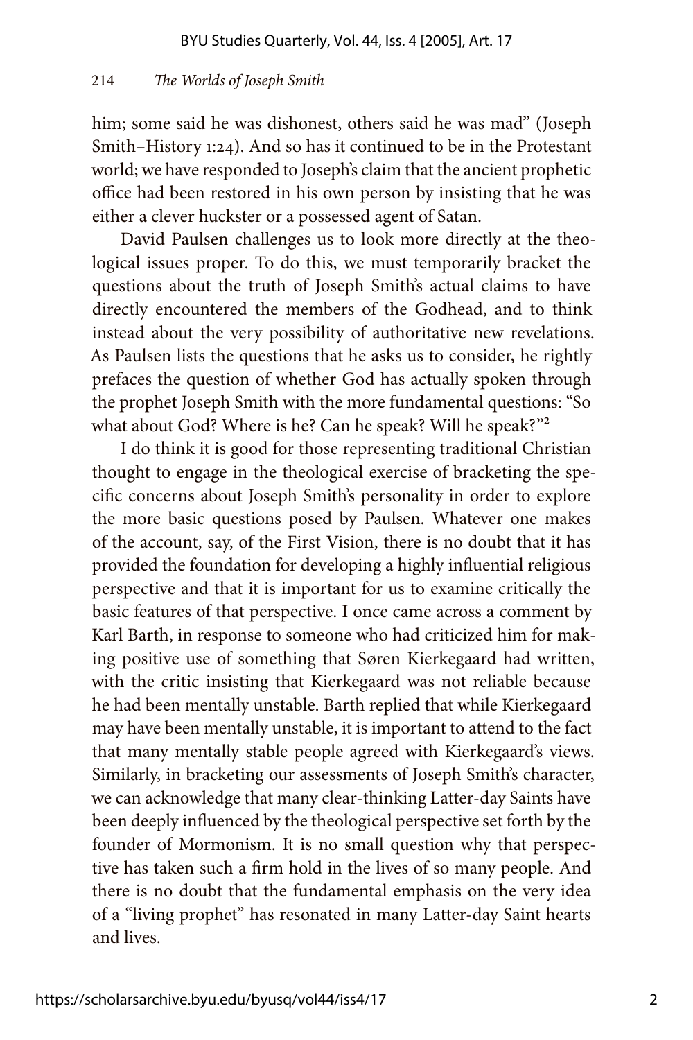him; some said he was dishonest, others said he was mad" (Joseph Smith–History :24). And so has it continued to be in the Protestant world; we have responded to Joseph's claim that the ancient prophetic office had been restored in his own person by insisting that he was either a clever huckster or a possessed agent of Satan.

 David Paulsen challenges us to look more directly at the theological issues proper. To do this, we must temporarily bracket the questions about the truth of Joseph Smith's actual claims to have directly encountered the members of the Godhead, and to think instead about the very possibility of authoritative new revelations. As Paulsen lists the questions that he asks us to consider, he rightly prefaces the question of whether God has actually spoken through the prophet Joseph Smith with the more fundamental questions: "So what about God? Where is he? Can he speak? Will he speak?"²

 I do think it is good for those representing traditional Christian thought to engage in the theological exercise of bracketing the specific concerns about Joseph Smith's personality in order to explore the more basic questions posed by Paulsen. Whatever one makes of the account, say, of the First Vision, there is no doubt that it has provided the foundation for developing a highly influential religious perspective and that it is important for us to examine critically the basic features of that perspective. I once came across a comment by Karl Barth, in response to someone who had criticized him for making positive use of something that Søren Kierkegaard had written, with the critic insisting that Kierkegaard was not reliable because he had been mentally unstable. Barth replied that while Kierkegaard may have been mentally unstable, it is important to attend to the fact that many mentally stable people agreed with Kierkegaard's views. Similarly, in bracketing our assessments of Joseph Smith's character, we can acknowledge that many clear-thinking Latter-day Saints have been deeply influenced by the theological perspective set forth by the founder of Mormonism. It is no small question why that perspective has taken such a firm hold in the lives of so many people. And there is no doubt that the fundamental emphasis on the very idea of a "living prophet" has resonated in many Latter-day Saint hearts and lives.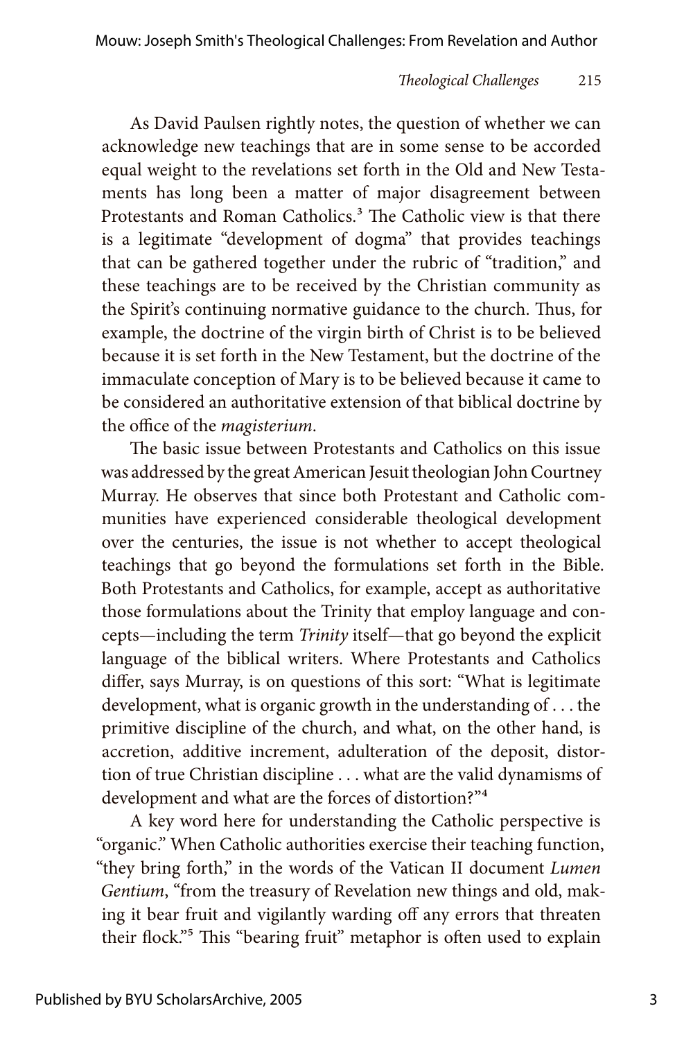Mouw: Joseph Smith's Theological Challenges: From Revelation and Author

#### *Theological Challenges* 215

 As David Paulsen rightly notes, the question of whether we can acknowledge new teachings that are in some sense to be accorded equal weight to the revelations set forth in the Old and New Testaments has long been a matter of major disagreement between Protestants and Roman Catholics.<sup>3</sup> The Catholic view is that there is a legitimate "development of dogma" that provides teachings that can be gathered together under the rubric of "tradition," and these teachings are to be received by the Christian community as the Spirit's continuing normative guidance to the church. Thus, for example, the doctrine of the virgin birth of Christ is to be believed because it is set forth in the New Testament, but the doctrine of the immaculate conception of Mary is to be believed because it came to be considered an authoritative extension of that biblical doctrine by the office of the *magisterium*.

 The basic issue between Protestants and Catholics on this issue was addressed by the great American Jesuit theologian John Courtney Murray. He observes that since both Protestant and Catholic communities have experienced considerable theological development over the centuries, the issue is not whether to accept theological teachings that go beyond the formulations set forth in the Bible. Both Protestants and Catholics, for example, accept as authoritative those formulations about the Trinity that employ language and concepts—including the term *Trinity* itself—that go beyond the explicit language of the biblical writers. Where Protestants and Catholics differ, says Murray, is on questions of this sort: "What is legitimate development, what is organic growth in the understanding of . . . the primitive discipline of the church, and what, on the other hand, is accretion, additive increment, adulteration of the deposit, distortion of true Christian discipline . . . what are the valid dynamisms of development and what are the forces of distortion?"<sup>4</sup>

 A key word here for understanding the Catholic perspective is "organic." When Catholic authorities exercise their teaching function, "they bring forth," in the words of the Vatican II document *Lumen Gentium*, "from the treasury of Revelation new things and old, making it bear fruit and vigilantly warding off any errors that threaten their flock."<sup>5</sup> This "bearing fruit" metaphor is often used to explain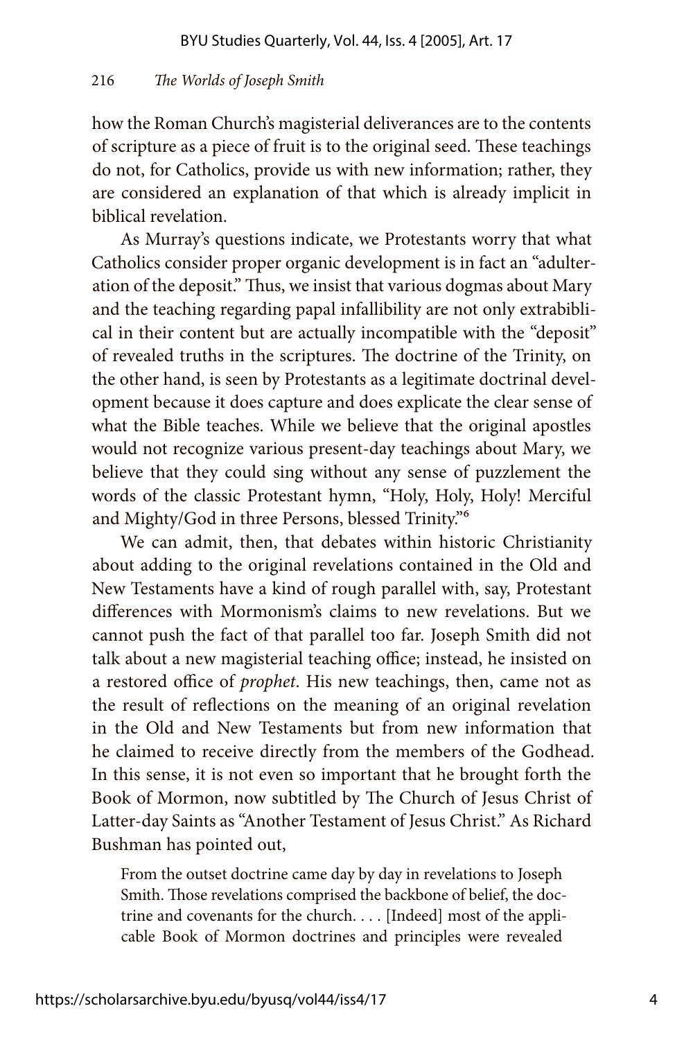how the Roman Church's magisterial deliverances are to the contents of scripture as a piece of fruit is to the original seed. These teachings do not, for Catholics, provide us with new information; rather, they are considered an explanation of that which is already implicit in biblical revelation.

 As Murray's questions indicate, we Protestants worry that what Catholics consider proper organic development is in fact an "adulteration of the deposit." Thus, we insist that various dogmas about Mary and the teaching regarding papal infallibility are not only extrabiblical in their content but are actually incompatible with the "deposit" of revealed truths in the scriptures. The doctrine of the Trinity, on the other hand, is seen by Protestants as a legitimate doctrinal development because it does capture and does explicate the clear sense of what the Bible teaches. While we believe that the original apostles would not recognize various present-day teachings about Mary, we believe that they could sing without any sense of puzzlement the words of the classic Protestant hymn, "Holy, Holy, Holy! Merciful and Mighty/God in three Persons, blessed Trinity."<sup>6</sup>

 We can admit, then, that debates within historic Christianity about adding to the original revelations contained in the Old and New Testaments have a kind of rough parallel with, say, Protestant differences with Mormonism's claims to new revelations. But we cannot push the fact of that parallel too far. Joseph Smith did not talk about a new magisterial teaching office; instead, he insisted on a restored office of *prophet*. His new teachings, then, came not as the result of reflections on the meaning of an original revelation in the Old and New Testaments but from new information that he claimed to receive directly from the members of the Godhead. In this sense, it is not even so important that he brought forth the Book of Mormon, now subtitled by The Church of Jesus Christ of Latter-day Saints as "Another Testament of Jesus Christ." As Richard Bushman has pointed out,

From the outset doctrine came day by day in revelations to Joseph Smith. Those revelations comprised the backbone of belief, the doctrine and covenants for the church. . . . [Indeed] most of the applicable Book of Mormon doctrines and principles were revealed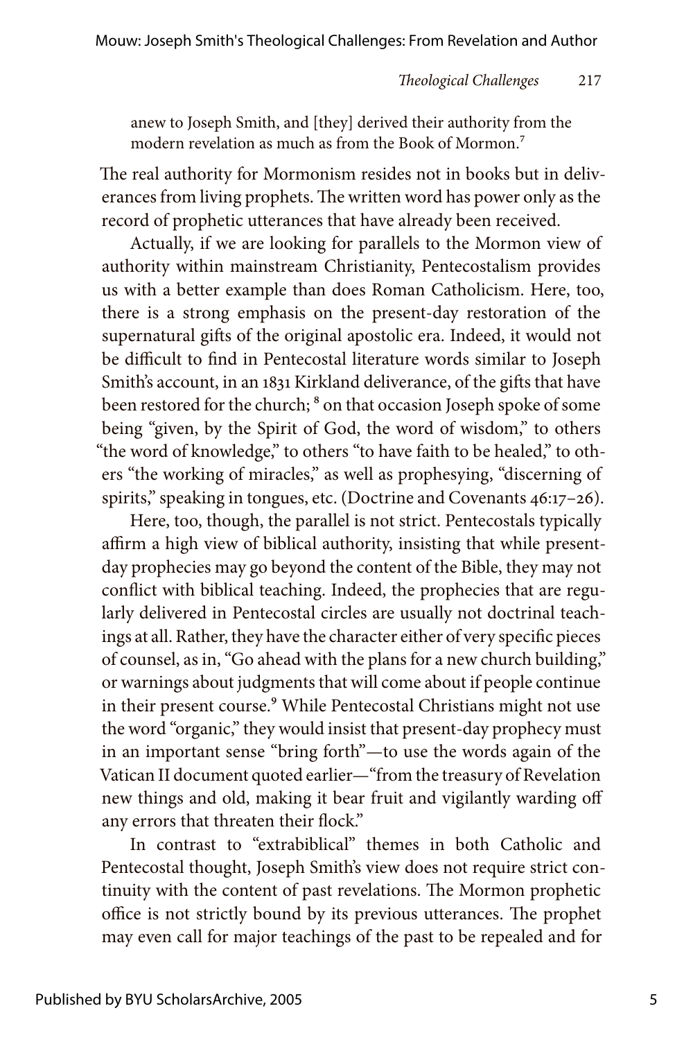anew to Joseph Smith, and [they] derived their authority from the modern revelation as much as from the Book of Mormon.<sup>7</sup>

The real authority for Mormonism resides not in books but in deliverances from living prophets. The written word has power only as the record of prophetic utterances that have already been received.

 Actually, if we are looking for parallels to the Mormon view of authority within mainstream Christianity, Pentecostalism provides us with a better example than does Roman Catholicism. Here, too, there is a strong emphasis on the present-day restoration of the supernatural gifts of the original apostolic era. Indeed, it would not be difficult to find in Pentecostal literature words similar to Joseph Smith's account, in an 1831 Kirkland deliverance, of the gifts that have been restored for the church; <sup>8</sup> on that occasion Joseph spoke of some being "given, by the Spirit of God, the word of wisdom," to others "the word of knowledge," to others "to have faith to be healed," to others "the working of miracles," as well as prophesying, "discerning of spirits," speaking in tongues, etc. (Doctrine and Covenants 46:17-26).

 Here, too, though, the parallel is not strict. Pentecostals typically affirm a high view of biblical authority, insisting that while presentday prophecies may go beyond the content of the Bible, they may not conflict with biblical teaching. Indeed, the prophecies that are regularly delivered in Pentecostal circles are usually not doctrinal teachings at all. Rather, they have the character either of very specific pieces of counsel, as in, "Go ahead with the plans for a new church building," or warnings about judgments that will come about if people continue in their present course.<sup>9</sup> While Pentecostal Christians might not use the word "organic," they would insist that present-day prophecy must in an important sense "bring forth"—to use the words again of the Vatican II document quoted earlier—"from the treasury of Revelation new things and old, making it bear fruit and vigilantly warding off any errors that threaten their flock."

 In contrast to "extrabiblical" themes in both Catholic and Pentecostal thought, Joseph Smith's view does not require strict continuity with the content of past revelations. The Mormon prophetic office is not strictly bound by its previous utterances. The prophet may even call for major teachings of the past to be repealed and for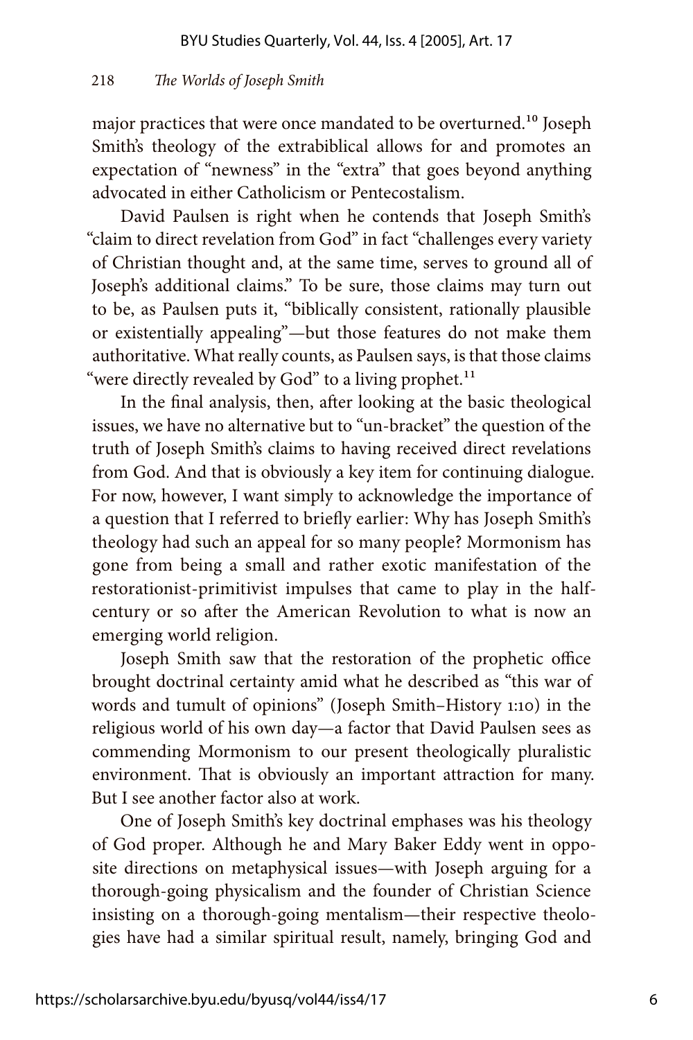major practices that were once mandated to be overturned.<sup>10</sup> Joseph Smith's theology of the extrabiblical allows for and promotes an expectation of "newness" in the "extra" that goes beyond anything advocated in either Catholicism or Pentecostalism.

 David Paulsen is right when he contends that Joseph Smith's "claim to direct revelation from God" in fact "challenges every variety of Christian thought and, at the same time, serves to ground all of Joseph's additional claims." To be sure, those claims may turn out to be, as Paulsen puts it, "biblically consistent, rationally plausible or existentially appealing"—but those features do not make them authoritative. What really counts, as Paulsen says, is that those claims "were directly revealed by God" to a living prophet. $<sup>11</sup>$ </sup>

 In the final analysis, then, after looking at the basic theological issues, we have no alternative but to "un-bracket" the question of the truth of Joseph Smith's claims to having received direct revelations from God. And that is obviously a key item for continuing dialogue. For now, however, I want simply to acknowledge the importance of a question that I referred to briefly earlier: Why has Joseph Smith's theology had such an appeal for so many people? Mormonism has gone from being a small and rather exotic manifestation of the restorationist-primitivist impulses that came to play in the halfcentury or so after the American Revolution to what is now an emerging world religion.

 Joseph Smith saw that the restoration of the prophetic office brought doctrinal certainty amid what he described as "this war of words and tumult of opinions" (Joseph Smith–History 1:10) in the religious world of his own day—a factor that David Paulsen sees as commending Mormonism to our present theologically pluralistic environment. That is obviously an important attraction for many. But I see another factor also at work.

 One of Joseph Smith's key doctrinal emphases was his theology of God proper. Although he and Mary Baker Eddy went in opposite directions on metaphysical issues—with Joseph arguing for a thorough-going physicalism and the founder of Christian Science insisting on a thorough-going mentalism—their respective theologies have had a similar spiritual result, namely, bringing God and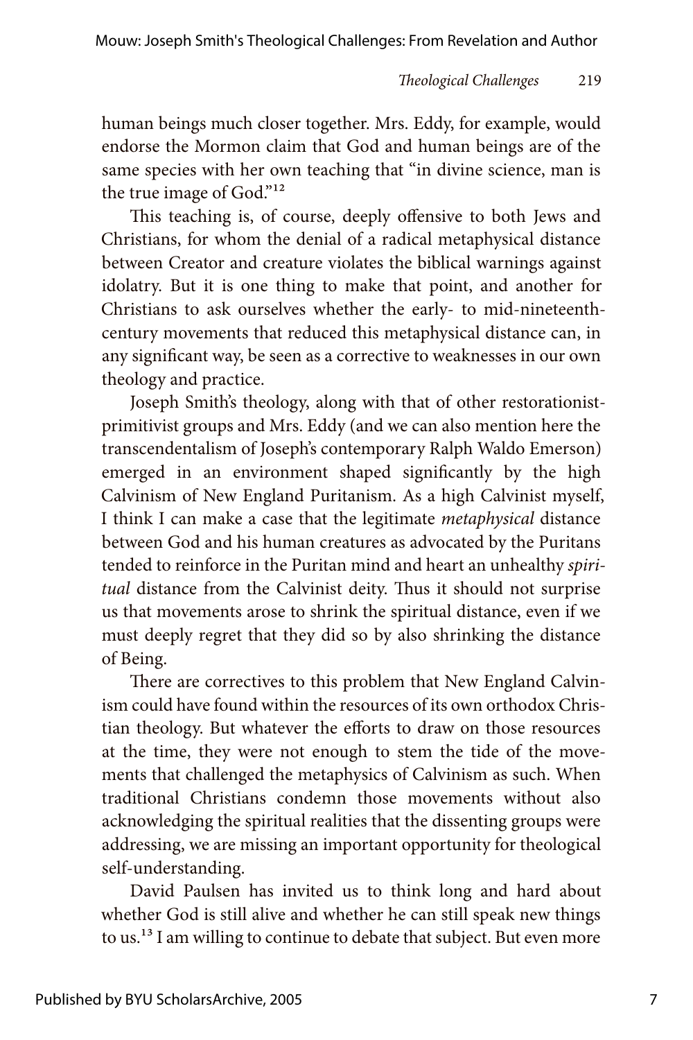Mouw: Joseph Smith's Theological Challenges: From Revelation and Author

human beings much closer together. Mrs. Eddy, for example, would endorse the Mormon claim that God and human beings are of the same species with her own teaching that "in divine science, man is the true image of God."<sup>12</sup>

 This teaching is, of course, deeply offensive to both Jews and Christians, for whom the denial of a radical metaphysical distance between Creator and creature violates the biblical warnings against idolatry. But it is one thing to make that point, and another for Christians to ask ourselves whether the early- to mid-nineteenthcentury movements that reduced this metaphysical distance can, in any significant way, be seen as a corrective to weaknesses in our own theology and practice.

 Joseph Smith's theology, along with that of other restorationistprimitivist groups and Mrs. Eddy (and we can also mention here the transcendentalism of Joseph's contemporary Ralph Waldo Emerson) emerged in an environment shaped significantly by the high Calvinism of New England Puritanism. As a high Calvinist myself, I think I can make a case that the legitimate *metaphysical* distance between God and his human creatures as advocated by the Puritans tended to reinforce in the Puritan mind and heart an unhealthy *spiritual* distance from the Calvinist deity. Thus it should not surprise us that movements arose to shrink the spiritual distance, even if we must deeply regret that they did so by also shrinking the distance of Being.

 There are correctives to this problem that New England Calvinism could have found within the resources of its own orthodox Christian theology. But whatever the efforts to draw on those resources at the time, they were not enough to stem the tide of the movements that challenged the metaphysics of Calvinism as such. When traditional Christians condemn those movements without also acknowledging the spiritual realities that the dissenting groups were addressing, we are missing an important opportunity for theological self-understanding.

 David Paulsen has invited us to think long and hard about whether God is still alive and whether he can still speak new things to us.<sup>13</sup> I am willing to continue to debate that subject. But even more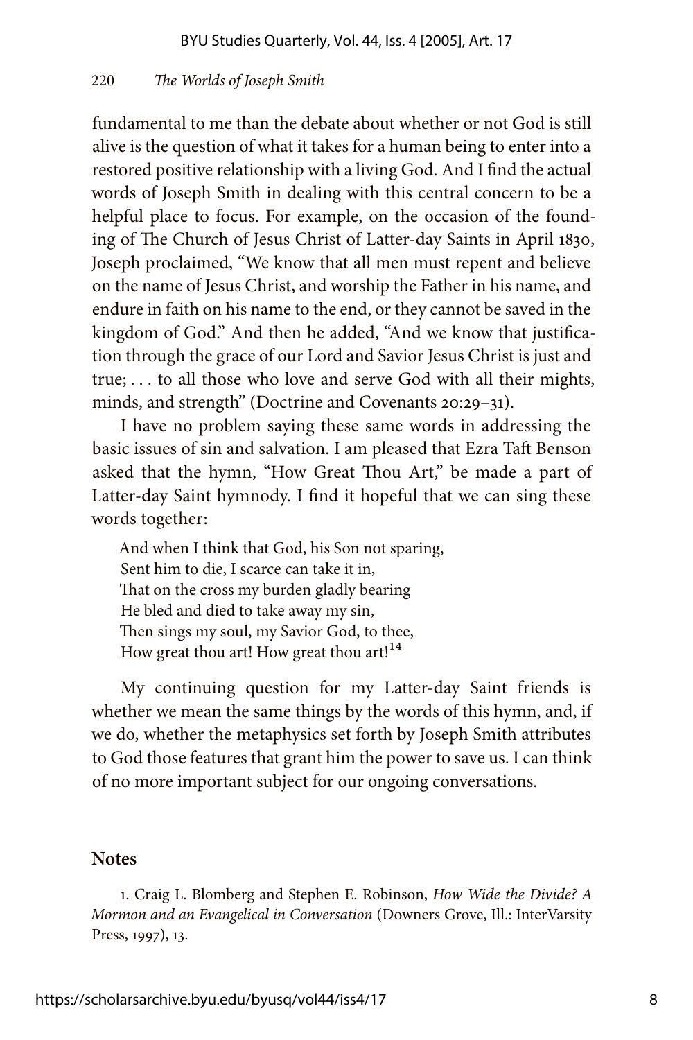fundamental to me than the debate about whether or not God is still alive is the question of what it takes for a human being to enter into a restored positive relationship with a living God. And I find the actual words of Joseph Smith in dealing with this central concern to be a helpful place to focus. For example, on the occasion of the founding of The Church of Jesus Christ of Latter-day Saints in April 1830, Joseph proclaimed, "We know that all men must repent and believe on the name of Jesus Christ, and worship the Father in his name, and endure in faith on his name to the end, or they cannot be saved in the kingdom of God." And then he added, "And we know that justification through the grace of our Lord and Savior Jesus Christ is just and true; . . . to all those who love and serve God with all their mights, minds, and strength" (Doctrine and Covenants 20:29–3).

 I have no problem saying these same words in addressing the basic issues of sin and salvation. I am pleased that Ezra Taft Benson asked that the hymn, "How Great Thou Art," be made a part of Latter-day Saint hymnody. I find it hopeful that we can sing these words together:

And when I think that God, his Son not sparing, Sent him to die, I scarce can take it in, That on the cross my burden gladly bearing He bled and died to take away my sin, Then sings my soul, my Savior God, to thee, How great thou art! How great thou art!<sup>14</sup>

 My continuing question for my Latter-day Saint friends is whether we mean the same things by the words of this hymn, and, if we do, whether the metaphysics set forth by Joseph Smith attributes to God those features that grant him the power to save us. I can think of no more important subject for our ongoing conversations.

#### **Notes**

 . Craig L. Blomberg and Stephen E. Robinson, *How Wide the Divide? A Mormon and an Evangelical in Conversation* (Downers Grove, Ill.: InterVarsity Press, 1997), 13.